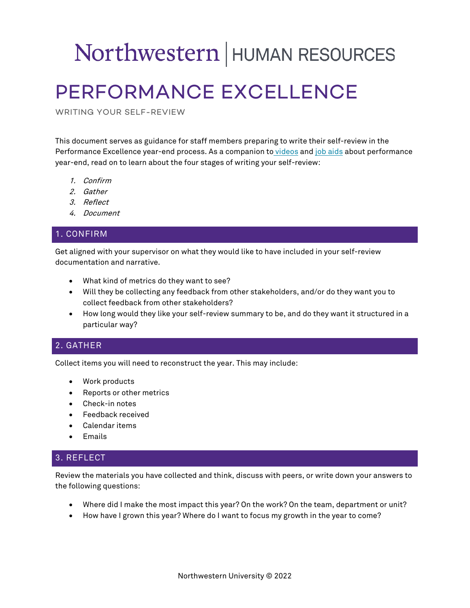# Northwestern | HUMAN RESOURCES

# PERFORMANCE EXCELLENCE

WRITING YOUR SELF-REVIEW

This document serves as guidance for staff members preparing to write their self-review in the Performance Excellence year-end process. As a companion to [videos](https://vimeo.com/showcase/pex2022) and [job aids](https://learn.northwestern.edu/Saba/Web_spf/PRODTNT074/app/intranet) about performance year-end, read on to learn about the four stages of writing your self-review:

- 1. Confirm
- 2. Gather
- 3. Reflect
- 4. Document

### 1. CONFIRM

Get aligned with your supervisor on what they would like to have included in your self-review documentation and narrative.

- What kind of metrics do they want to see?
- Will they be collecting any feedback from other stakeholders, and/or do they want you to collect feedback from other stakeholders?
- How long would they like your self-review summary to be, and do they want it structured in a particular way?

#### 2. GATHER

Collect items you will need to reconstruct the year. This may include:

- Work products
- Reports or other metrics
- Check-in notes
- Feedback received
- Calendar items
- Emails

#### 3. REFLECT

Review the materials you have collected and think, discuss with peers, or write down your answers to the following questions:

- Where did I make the most impact this year? On the work? On the team, department or unit?
- How have I grown this year? Where do I want to focus my growth in the year to come?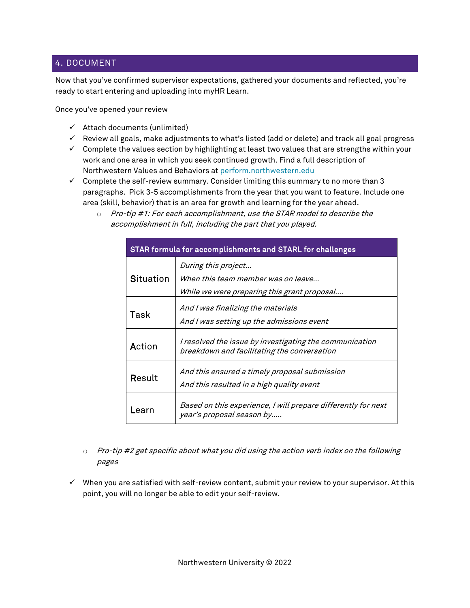#### 4. DOCUMENT

Now that you've confirmed supervisor expectations, gathered your documents and reflected, you're ready to start entering and uploading into myHR Learn.

Once you've opened your review

- $\checkmark$  Attach documents (unlimited)
- $\checkmark$  Review all goals, make adjustments to what's listed (add or delete) and track all goal progress
- $\checkmark$  Complete the values section by highlighting at least two values that are strengths within your work and one area in which you seek continued growth. Find a full description of Northwestern Values and Behaviors at [perform.northwestern.edu](https://www.northwestern.edu/hr/learning/performance-excellence/resources-for-staff/index.html#resources)
- $\checkmark$  Complete the self-review summary. Consider limiting this summary to no more than 3 paragraphs. Pick 3-5 accomplishments from the year that you want to feature. Include one area (skill, behavior) that is an area for growth and learning for the year ahead.
	- o Pro-tip #1: For each accomplishment, use the STAR model to describe the accomplishment in full, including the part that you played.

| STAR formula for accomplishments and STARL for challenges |                                                                                                          |
|-----------------------------------------------------------|----------------------------------------------------------------------------------------------------------|
| Situation                                                 | During this project<br>When this team member was on leave<br>While we were preparing this grant proposal |
| Task                                                      | And I was finalizing the materials<br>And I was setting up the admissions event                          |
| Action                                                    | I resolved the issue by investigating the communication<br>breakdown and facilitating the conversation   |
| Result                                                    | And this ensured a timely proposal submission<br>And this resulted in a high quality event               |
| Learn                                                     | Based on this experience, I will prepare differently for next<br>year's proposal season by               |

- o Pro-tip #2 get specific about what you did using the action verb index on the following pages
- $\checkmark$  When you are satisfied with self-review content, submit your review to your supervisor. At this point, you will no longer be able to edit your self-review.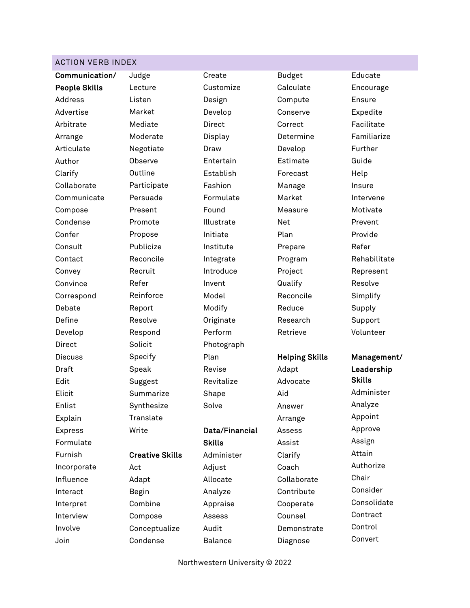#### ACTION VERB INDEX

Communication/ People Skills Address Advertise Arbitrate Arrange Articulate Author Clarify Collaborate Communicate Compose Condense Confer **Consult** Contact Convey **Convince** Correspond Debate Define Develop Direct Discuss Draft Edit Elicit Enlist Explain Express Formulate Furnish Incorporate Influence Interact Interpret Interview Involve

Join

Judge Lecture Listen Market Mediate Moderate Negotiate Observe **Outline** Participate Persuade Present Promote Propose Publicize Reconcile Recruit **Reinforce** Report Resolve Respond Solicit Specify Speak Suggest Summarize Synthesize **Translate** Creative Skills Adapt Begin Combine Compose

Refer

**Write** 

Act

Conceptualize Condense

Create Customize Design Develop Direct Display Draw **Entertain** Establish Fashion Formulate Found Illustrate Initiate Institute Integrate Introduce Invent Model Modify **Originate** Perform Photograph Plan Revise Revitalize Shape Solve Data/Financial **Skills** Administer Adjust

Budget Calculate Compute Conserve Correct Determine Develop Estimate Forecast Manage Market Measure Net Plan Prepare Program Project Qualify Reconcile Reduce Research Retrieve

#### Helping Skills

Adapt Advocate Aid Answer Arrange Assess Assist Clarify Coach Collaborate Contribute Cooperate Counsel Demonstrate Diagnose

Encourage Ensure Expedite Facilitate Familiarize Further Guide Help Insure Intervene Motivate Prevent Provide Refer Rehabilitate Represent Resolve Simplify Supply Support Volunteer

Educate

## Management/ Leadership Skills Administer Analyze Appoint Approve Assign Attain Authorize Chair Consider Consolidate **Contract** Control Convert

Northwestern University © 2022

Allocate Analyze Appraise Assess Audit Balance